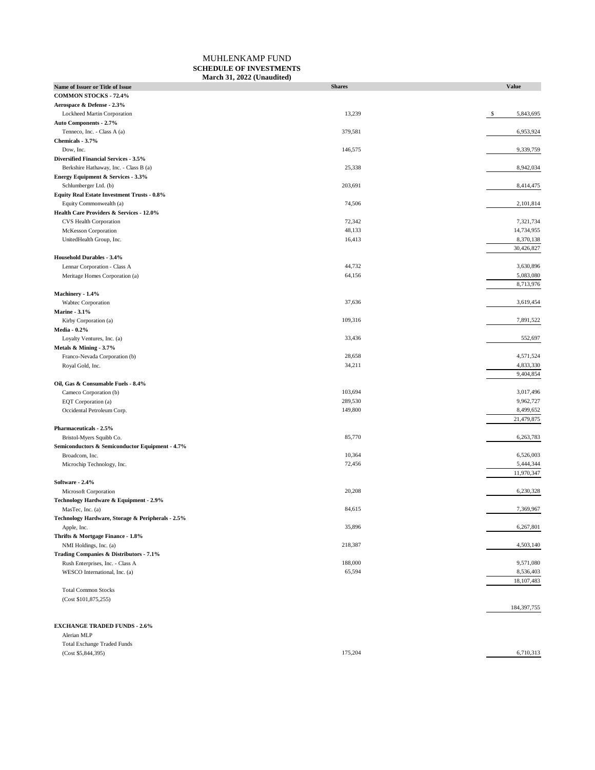## MUHLENKAMP FUND **SCHEDULE OF INVESTMENTS March 31, 2022 (Unaudited)**

| <b>Name of Issuer or Title of Issue</b>            | <b>Shares</b> | <b>Value</b>   |
|----------------------------------------------------|---------------|----------------|
| COMMON STOCKS - 72.4%                              |               |                |
| Aerospace & Defense - 2.3%                         |               |                |
| Lockheed Martin Corporation                        | 13,239        | 5,843,695<br>S |
| Auto Components - 2.7%                             |               |                |
| Tenneco, Inc. - Class A (a)                        | 379,581       | 6,953,924      |
| Chemicals - 3.7%                                   |               |                |
| Dow, Inc.                                          | 146,575       | 9,339,759      |
| Diversified Financial Services - 3.5%              |               |                |
| Berkshire Hathaway, Inc. - Class B (a)             | 25,338        | 8,942,034      |
| Energy Equipment & Services - 3.3%                 |               |                |
| Schlumberger Ltd. (b)                              | 203,691       | 8,414,475      |
| <b>Equity Real Estate Investment Trusts - 0.8%</b> |               |                |
| Equity Commonwealth (a)                            | 74,506        | 2,101,814      |
| Health Care Providers & Services - 12.0%           |               |                |
| <b>CVS Health Corporation</b>                      | 72,342        | 7,321,734      |
| McKesson Corporation                               | 48,133        | 14,734,955     |
| UnitedHealth Group, Inc.                           | 16,413        | 8,370,138      |
|                                                    |               | 30,426,827     |
| Household Durables - 3.4%                          |               |                |
| Lennar Corporation - Class A                       | 44,732        | 3,630,896      |
| Meritage Homes Corporation (a)                     | 64,156        | 5,083,080      |
|                                                    |               | 8,713,976      |
| Machinery - 1.4%                                   |               |                |
| Wabtec Corporation                                 | 37,636        | 3,619,454      |
| <b>Marine - 3.1%</b>                               |               |                |
| Kirby Corporation (a)                              | 109,316       | 7,891,522      |
| <b>Media - 0.2%</b>                                |               |                |
| Loyalty Ventures, Inc. (a)                         | 33,436        | 552,697        |
| Metals & Mining - 3.7%                             |               |                |
| Franco-Nevada Corporation (b)                      | 28,658        | 4,571,524      |
| Royal Gold, Inc.                                   | 34,211        | 4,833,330      |
|                                                    |               | 9,404,854      |
| Oil, Gas & Consumable Fuels - 8.4%                 |               |                |
| Cameco Corporation (b)                             | 103,694       | 3,017,496      |
| EQT Corporation (a)                                | 289,530       | 9,962,727      |
| Occidental Petroleum Corp.                         | 149,800       | 8,499,652      |
|                                                    |               | 21,479,875     |
| Pharmaceuticals - 2.5%                             |               |                |
| Bristol-Myers Squibb Co.                           | 85,770        | 6,263,783      |
| Semiconductors & Semiconductor Equipment - 4.7%    |               |                |
| Broadcom, Inc.                                     | 10,364        | 6,526,003      |
| Microchip Technology, Inc.                         | 72,456        | 5,444,344      |
|                                                    |               | 11,970,347     |
| Software - 2.4%                                    |               |                |
| Microsoft Corporation                              | 20,208        | 6,230,328      |
| Technology Hardware & Equipment - 2.9%             |               |                |
| MasTec, Inc. (a)                                   | 84,615        | 7,369,967      |
| Technology Hardware, Storage & Peripherals - 2.5%  |               |                |
| Apple, Inc.                                        | 35,896        | 6,267,801      |
| Thrifts & Mortgage Finance - 1.8%                  |               |                |
| NMI Holdings, Inc. (a)                             | 218,387       | 4,503,140      |
| Trading Companies & Distributors - 7.1%            |               |                |
| Rush Enterprises, Inc. - Class A                   | 188,000       | 9,571,080      |
| WESCO International, Inc. (a)                      | 65,594        | 8,536,403      |
|                                                    |               | 18,107,483     |
| <b>Total Common Stocks</b>                         |               |                |
| (Cost \$101,875,255)                               |               |                |
|                                                    |               | 184, 397, 755  |
|                                                    |               |                |
| <b>EXCHANGE TRADED FUNDS - 2.6%</b>                |               |                |
| Alerian MLP                                        |               |                |
| <b>Total Exchange Traded Funds</b>                 |               |                |
| (Cost \$5,844,395)                                 | 175,204       | 6,710,313      |